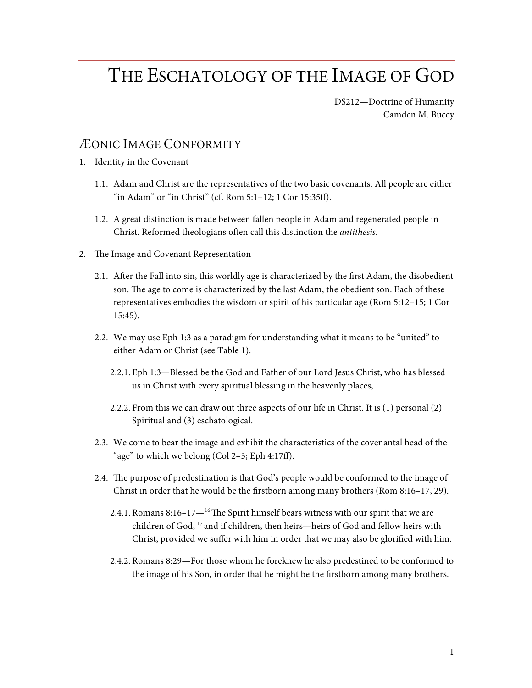## THE ESCHATOLOGY OF THE IMAGE OF GOD

DS212—Doctrine of Humanity Camden M. Bucey

## ÆONIC IMAGE CONFORMITY

- 1. Identity in the Covenant
	- 1.1. Adam and Christ are the representatives of the two basic covenants. All people are either "in Adam" or "in Christ" (cf. Rom 5:1–12; 1 Cor 15:35ff).
	- 1.2. A great distinction is made between fallen people in Adam and regenerated people in Christ. Reformed theologians often call this distinction the *antithesis*.
- 2. The Image and Covenant Representation
	- 2.1. After the Fall into sin, this worldly age is characterized by the first Adam, the disobedient son. The age to come is characterized by the last Adam, the obedient son. Each of these representatives embodies the wisdom or spirit of his particular age (Rom 5:12–15; 1 Cor 15:45).
	- 2.2. We may use Eph 1:3 as a paradigm for understanding what it means to be "united" to either Adam or Christ (see Table 1).
		- 2.2.1. Eph 1:3—Blessed be the God and Father of our Lord Jesus Christ, who has blessed us in Christ with every spiritual blessing in the heavenly places,
		- 2.2.2. From this we can draw out three aspects of our life in Christ. It is (1) personal (2) Spiritual and (3) eschatological.
	- 2.3. We come to bear the image and exhibit the characteristics of the covenantal head of the "age" to which we belong (Col 2–3; Eph 4:17ff).
	- 2.4. The purpose of predestination is that God's people would be conformed to the image of Christ in order that he would be the firstborn among many brothers (Rom 8:16–17, 29).
		- 2.4.1. Romans 8:16–17 $-$ <sup>16</sup>The Spirit himself bears witness with our spirit that we are children of God, 17 and if children, then heirs—heirs of God and fellow heirs with Christ, provided we suffer with him in order that we may also be glorified with him.
		- 2.4.2. Romans 8:29—For those whom he foreknew he also predestined to be conformed to the image of his Son, in order that he might be the firstborn among many brothers.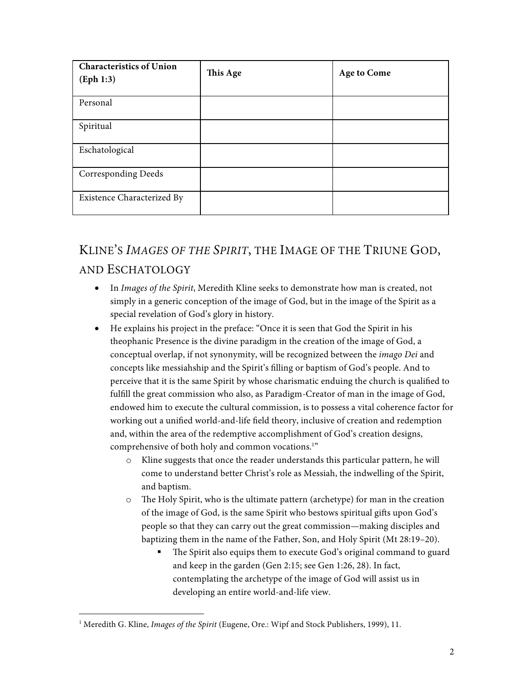| <b>Characteristics of Union</b><br>(Eph 1:3) | This Age | <b>Age to Come</b> |
|----------------------------------------------|----------|--------------------|
| Personal                                     |          |                    |
| Spiritual                                    |          |                    |
| Eschatological                               |          |                    |
| <b>Corresponding Deeds</b>                   |          |                    |
| Existence Characterized By                   |          |                    |

## KLINE'S *IMAGES OF THE SPIRIT*, THE IMAGE OF THE TRIUNE GOD, AND ESCHATOLOGY

- In *Images of the Spirit*, Meredith Kline seeks to demonstrate how man is created, not simply in a generic conception of the image of God, but in the image of the Spirit as a special revelation of God's glory in history.
- He explains his project in the preface: "Once it is seen that God the Spirit in his theophanic Presence is the divine paradigm in the creation of the image of God, a conceptual overlap, if not synonymity, will be recognized between the *imago Dei* and concepts like messiahship and the Spirit's filling or baptism of God's people. And to perceive that it is the same Spirit by whose charismatic enduing the church is qualified to fulfill the great commission who also, as Paradigm-Creator of man in the image of God, endowed him to execute the cultural commission, is to possess a vital coherence factor for working out a unified world-and-life field theory, inclusive of creation and redemption and, within the area of the redemptive accomplishment of God's creation designs, comprehensive of both holy and common vocations.<sup>1</sup>"
	- o Kline suggests that once the reader understands this particular pattern, he will come to understand better Christ's role as Messiah, the indwelling of the Spirit, and baptism.
	- o The Holy Spirit, who is the ultimate pattern (archetype) for man in the creation of the image of God, is the same Spirit who bestows spiritual gifts upon God's people so that they can carry out the great commission—making disciples and baptizing them in the name of the Father, Son, and Holy Spirit (Mt 28:19–20).
		- The Spirit also equips them to execute God's original command to guard and keep in the garden (Gen 2:15; see Gen 1:26, 28). In fact, contemplating the archetype of the image of God will assist us in developing an entire world-and-life view.

 <sup>1</sup> Meredith G. Kline, *Images of the Spirit* (Eugene, Ore.: Wipf and Stock Publishers, 1999), 11.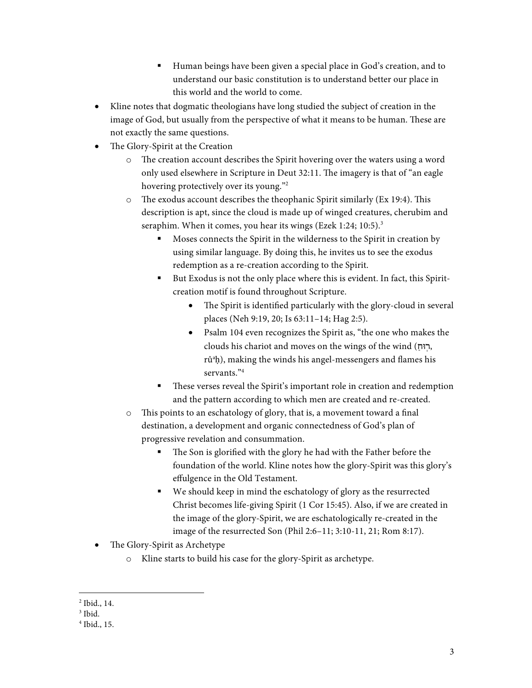- Human beings have been given a special place in God's creation, and to understand our basic constitution is to understand better our place in this world and the world to come.
- Kline notes that dogmatic theologians have long studied the subject of creation in the image of God, but usually from the perspective of what it means to be human. These are not exactly the same questions.
- The Glory-Spirit at the Creation
	- o The creation account describes the Spirit hovering over the waters using a word only used elsewhere in Scripture in Deut 32:11. The imagery is that of "an eagle hovering protectively over its young."2
	- o The exodus account describes the theophanic Spirit similarly (Ex 19:4). This description is apt, since the cloud is made up of winged creatures, cherubim and seraphim. When it comes, you hear its wings (Ezek 1:24; 10:5).<sup>3</sup>
		- § Moses connects the Spirit in the wilderness to the Spirit in creation by using similar language. By doing this, he invites us to see the exodus redemption as a re-creation according to the Spirit.
		- But Exodus is not the only place where this is evident. In fact, this Spiritcreation motif is found throughout Scripture.
			- The Spirit is identified particularly with the glory-cloud in several places (Neh 9:19, 20; Is 63:11–14; Hag 2:5).
			- Psalm 104 even recognizes the Spirit as, "the one who makes the clouds his chariot and moves on the wings of the wind ( ַוּח ֽר, rû<sup>a</sup>h), making the winds his angel-messengers and flames his servants<sup>34</sup>
		- These verses reveal the Spirit's important role in creation and redemption and the pattern according to which men are created and re-created.
	- o This points to an eschatology of glory, that is, a movement toward a final destination, a development and organic connectedness of God's plan of progressive revelation and consummation.
		- The Son is glorified with the glory he had with the Father before the foundation of the world. Kline notes how the glory-Spirit was this glory's effulgence in the Old Testament.
		- We should keep in mind the eschatology of glory as the resurrected Christ becomes life-giving Spirit (1 Cor 15:45). Also, if we are created in the image of the glory-Spirit, we are eschatologically re-created in the image of the resurrected Son (Phil 2:6–11; 3:10-11, 21; Rom 8:17).
- The Glory-Spirit as Archetype
	- o Kline starts to build his case for the glory-Spirit as archetype.

 <sup>2</sup> Ibid., 14.

 $^3$  Ibid.

<sup>4</sup> Ibid., 15.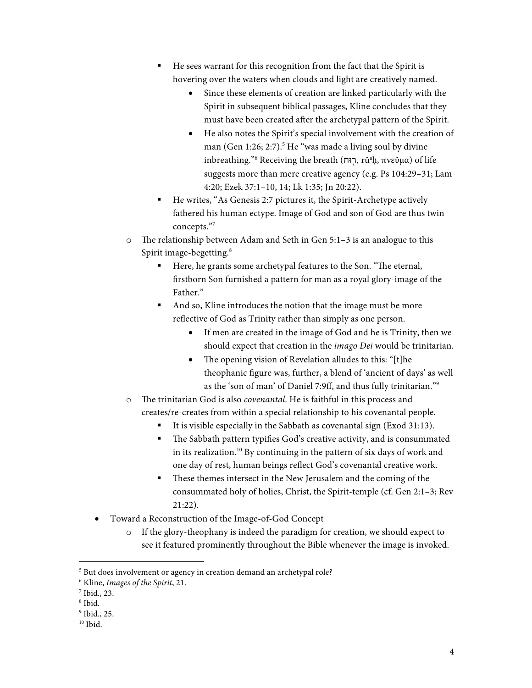- He sees warrant for this recognition from the fact that the Spirit is hovering over the waters when clouds and light are creatively named.
	- Since these elements of creation are linked particularly with the Spirit in subsequent biblical passages, Kline concludes that they must have been created after the archetypal pattern of the Spirit.
	- He also notes the Spirit's special involvement with the creation of man (Gen 1:26; 2:7).<sup>5</sup> He "was made a living soul by divine inbreathing."<sup>6</sup> Receiving the breath (רְוּחַ, rûªḥ, πνεῦμα) of life suggests more than mere creative agency (e.g. Ps 104:29–31; Lam 4:20; Ezek 37:1–10, 14; Lk 1:35; Jn 20:22).
- He writes, "As Genesis 2:7 pictures it, the Spirit-Archetype actively fathered his human ectype. Image of God and son of God are thus twin concepts."7
- o The relationship between Adam and Seth in Gen 5:1–3 is an analogue to this Spirit image-begetting.<sup>8</sup>
	- Here, he grants some archetypal features to the Son. "The eternal, firstborn Son furnished a pattern for man as a royal glory-image of the Father<sup>"</sup>
	- § And so, Kline introduces the notion that the image must be more reflective of God as Trinity rather than simply as one person.
		- If men are created in the image of God and he is Trinity, then we should expect that creation in the *imago Dei* would be trinitarian.
		- The opening vision of Revelation alludes to this: "[t]he theophanic figure was, further, a blend of 'ancient of days' as well as the 'son of man' of Daniel 7:9ff, and thus fully trinitarian."9
- o The trinitarian God is also *covenantal*. He is faithful in this process and creates/re-creates from within a special relationship to his covenantal people.
	- § It is visible especially in the Sabbath as covenantal sign (Exod 31:13).
	- The Sabbath pattern typifies God's creative activity, and is consummated in its realization.<sup>10</sup> By continuing in the pattern of six days of work and one day of rest, human beings reflect God's covenantal creative work.
	- These themes intersect in the New Jerusalem and the coming of the consummated holy of holies, Christ, the Spirit-temple (cf. Gen 2:1–3; Rev 21:22).
- Toward a Reconstruction of the Image-of-God Concept
	- $\circ$  If the glory-theophany is indeed the paradigm for creation, we should expect to see it featured prominently throughout the Bible whenever the image is invoked.

<sup>&</sup>lt;sup>5</sup> But does involvement or agency in creation demand an archetypal role?

<sup>6</sup> Kline, *Images of the Spirit*, 21.

<sup>7</sup> Ibid., 23.

<sup>8</sup> Ibid.

<sup>&</sup>lt;sup>9</sup> Ibid., 25.

 $10$  Ibid.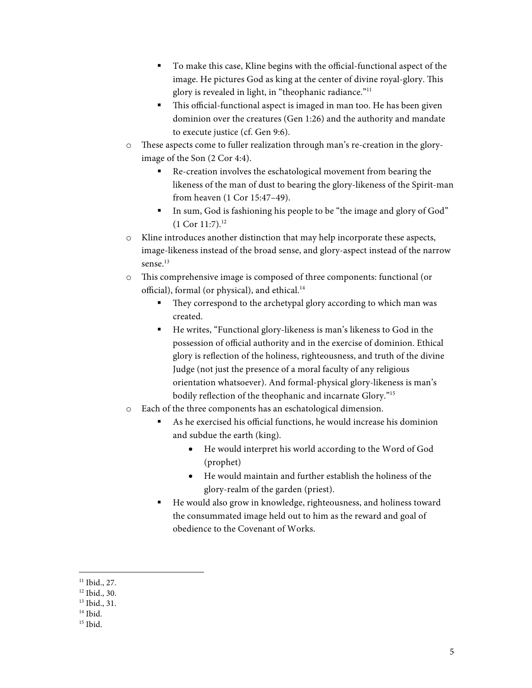- § To make this case, Kline begins with the official-functional aspect of the image. He pictures God as king at the center of divine royal-glory. This glory is revealed in light, in "theophanic radiance."11
- This official-functional aspect is imaged in man too. He has been given dominion over the creatures (Gen 1:26) and the authority and mandate to execute justice (cf. Gen 9:6).
- o These aspects come to fuller realization through man's re-creation in the gloryimage of the Son (2 Cor 4:4).
	- Re-creation involves the eschatological movement from bearing the likeness of the man of dust to bearing the glory-likeness of the Spirit-man from heaven (1 Cor 15:47–49).
	- In sum, God is fashioning his people to be "the image and glory of God"  $(1$  Cor  $11:7$ ).<sup>12</sup>
- o Kline introduces another distinction that may help incorporate these aspects, image-likeness instead of the broad sense, and glory-aspect instead of the narrow sense. 13
- o This comprehensive image is composed of three components: functional (or official), formal (or physical), and ethical.<sup>14</sup>
	- They correspond to the archetypal glory according to which man was created.
	- He writes, "Functional glory-likeness is man's likeness to God in the possession of official authority and in the exercise of dominion. Ethical glory is reflection of the holiness, righteousness, and truth of the divine Judge (not just the presence of a moral faculty of any religious orientation whatsoever). And formal-physical glory-likeness is man's bodily reflection of the theophanic and incarnate Glory."15
- o Each of the three components has an eschatological dimension.
	- § As he exercised his official functions, he would increase his dominion and subdue the earth (king).
		- He would interpret his world according to the Word of God (prophet)
		- He would maintain and further establish the holiness of the glory-realm of the garden (priest).
	- He would also grow in knowledge, righteousness, and holiness toward the consummated image held out to him as the reward and goal of obedience to the Covenant of Works.

 $11$  Ibid., 27.

<sup>12</sup> Ibid., 30.

<sup>&</sup>lt;sup>13</sup> Ibid., 31.

<sup>&</sup>lt;sup>14</sup> Ibid.

 $15$  Ibid.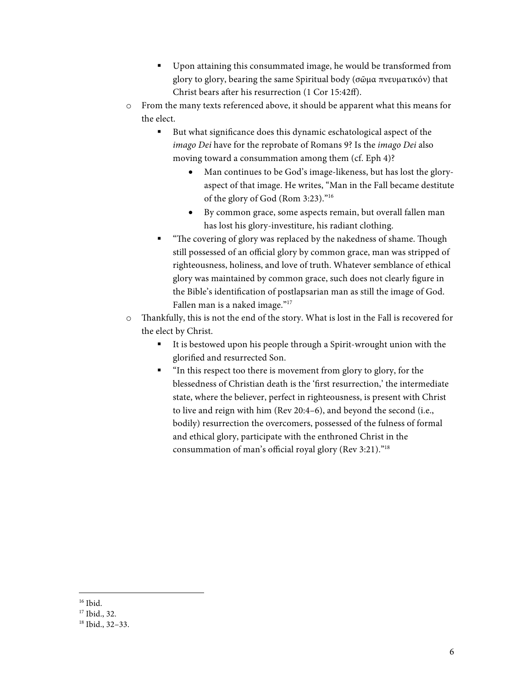- Upon attaining this consummated image, he would be transformed from glory to glory, bearing the same Spiritual body (σῶμα πνευματικόν) that Christ bears after his resurrection (1 Cor 15:42ff).
- o From the many texts referenced above, it should be apparent what this means for the elect.
	- But what significance does this dynamic eschatological aspect of the *imago Dei* have for the reprobate of Romans 9? Is the *imago Dei* also moving toward a consummation among them (cf. Eph 4)?
		- Man continues to be God's image-likeness, but has lost the gloryaspect of that image. He writes, "Man in the Fall became destitute of the glory of God (Rom 3:23)."16
		- By common grace, some aspects remain, but overall fallen man has lost his glory-investiture, his radiant clothing.
	- § "The covering of glory was replaced by the nakedness of shame. Though still possessed of an official glory by common grace, man was stripped of righteousness, holiness, and love of truth. Whatever semblance of ethical glory was maintained by common grace, such does not clearly figure in the Bible's identification of postlapsarian man as still the image of God. Fallen man is a naked image."<sup>17</sup>
- o Thankfully, this is not the end of the story. What is lost in the Fall is recovered for the elect by Christ.
	- It is bestowed upon his people through a Spirit-wrought union with the glorified and resurrected Son.
	- "In this respect too there is movement from glory to glory, for the blessedness of Christian death is the 'first resurrection,' the intermediate state, where the believer, perfect in righteousness, is present with Christ to live and reign with him (Rev 20:4–6), and beyond the second (i.e., bodily) resurrection the overcomers, possessed of the fulness of formal and ethical glory, participate with the enthroned Christ in the consummation of man's official royal glory (Rev 3:21)."18

<sup>&</sup>lt;sup>16</sup> Ibid.

<sup>&</sup>lt;sup>17</sup> Ibid., 32.

<sup>18</sup> Ibid., 32–33.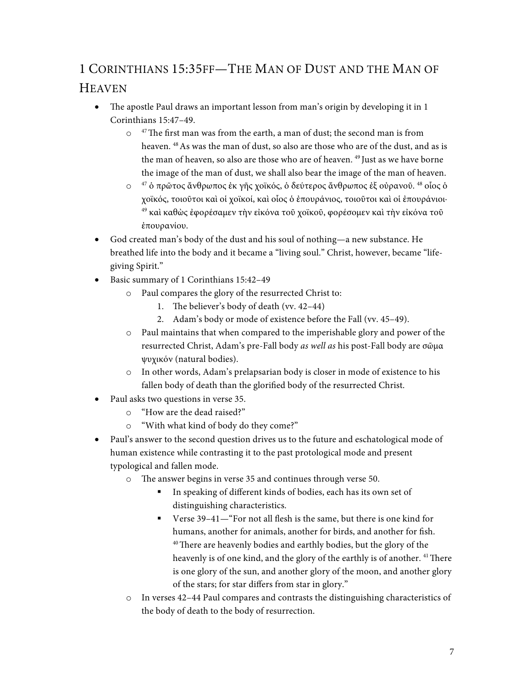## 1 CORINTHIANS 15:35FF—THE MAN OF DUST AND THE MAN OF **HEAVEN**

- The apostle Paul draws an important lesson from man's origin by developing it in 1 Corinthians 15:47–49.
	- $\circ$ <sup>47</sup>The first man was from the earth, a man of dust; the second man is from heaven. <sup>48</sup> As was the man of dust, so also are those who are of the dust, and as is the man of heaven, so also are those who are of heaven.<sup>49</sup> Just as we have borne the image of the man of dust, we shall also bear the image of the man of heaven.
	- o <sup>47</sup> ὁ πρῶτος ἄνθρωπος ἐκ γῆς χοϊκός, ὁ δεύτερος ἄνθρωπος ἐξ οὐρανοῦ. 48 οἷος ὁ χοϊκός, τοιοῦτοι καὶ οἱ χοϊκοί, καὶ οἷος ὁ ἐπουράνιος, τοιοῦτοι καὶ οἱ ἐπουράνιοι· <sup>49</sup> καὶ καθὼς ἐφορέσαμεν τὴν εἰκόνα τοῦ χοϊκοῦ, φορέσομεν καὶ τὴν εἰκόνα τοῦ ἐπουρανίου.
- God created man's body of the dust and his soul of nothing—a new substance. He breathed life into the body and it became a "living soul." Christ, however, became "lifegiving Spirit."
- Basic summary of 1 Corinthians 15:42–49
	- o Paul compares the glory of the resurrected Christ to:
		- 1. The believer's body of death (vv. 42–44)
		- 2. Adam's body or mode of existence before the Fall (vv. 45–49).
	- o Paul maintains that when compared to the imperishable glory and power of the resurrected Christ, Adam's pre-Fall body *as well as* his post-Fall body are σῶμα ψυχικόν (natural bodies).
	- o In other words, Adam's prelapsarian body is closer in mode of existence to his fallen body of death than the glorified body of the resurrected Christ.
- Paul asks two questions in verse 35.
	- o "How are the dead raised?"
	- o "With what kind of body do they come?"
- Paul's answer to the second question drives us to the future and eschatological mode of human existence while contrasting it to the past protological mode and present typological and fallen mode.
	- o The answer begins in verse 35 and continues through verse 50.
		- § In speaking of different kinds of bodies, each has its own set of distinguishing characteristics.
		- Verse 39–41—"For not all flesh is the same, but there is one kind for humans, another for animals, another for birds, and another for fish. <sup>40</sup>There are heavenly bodies and earthly bodies, but the glory of the heavenly is of one kind, and the glory of the earthly is of another. <sup>41</sup> There is one glory of the sun, and another glory of the moon, and another glory of the stars; for star differs from star in glory."
	- o In verses 42–44 Paul compares and contrasts the distinguishing characteristics of the body of death to the body of resurrection.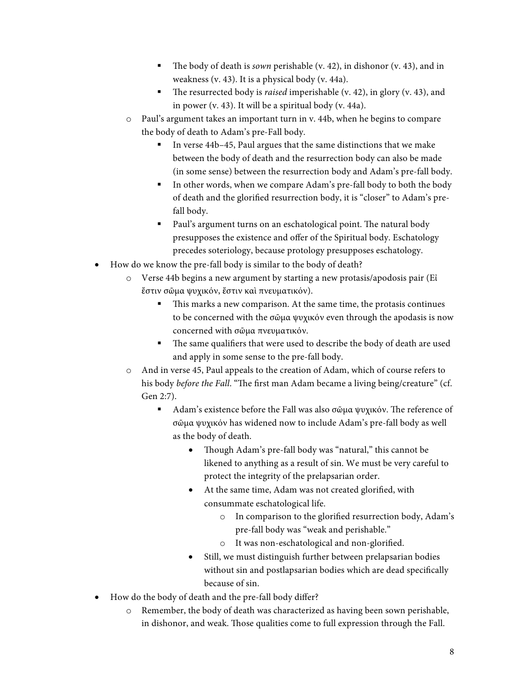- The body of death is *sown* perishable (v. 42), in dishonor (v. 43), and in weakness (v. 43). It is a physical body (v. 44a).
- The resurrected body is *raised* imperishable (v. 42), in glory (v. 43), and in power (v. 43). It will be a spiritual body (v. 44a).
- o Paul's argument takes an important turn in v. 44b, when he begins to compare the body of death to Adam's pre-Fall body.
	- In verse 44b–45, Paul argues that the same distinctions that we make between the body of death and the resurrection body can also be made (in some sense) between the resurrection body and Adam's pre-fall body.
	- In other words, when we compare Adam's pre-fall body to both the body of death and the glorified resurrection body, it is "closer" to Adam's prefall body.
	- Paul's argument turns on an eschatological point. The natural body presupposes the existence and offer of the Spiritual body. Eschatology precedes soteriology, because protology presupposes eschatology.
- How do we know the pre-fall body is similar to the body of death?
	- o Verse 44b begins a new argument by starting a new protasis/apodosis pair (Εἰ ἔστιν σῶμα ψυχικόν, ἔστιν καὶ πνευματικόν).
		- This marks a new comparison. At the same time, the protasis continues to be concerned with the σῶμα ψυχικόν even through the apodasis is now concerned with σῶμα πνευματικόν.
		- § The same qualifiers that were used to describe the body of death are used and apply in some sense to the pre-fall body.
	- o And in verse 45, Paul appeals to the creation of Adam, which of course refers to his body *before the Fall*. "The first man Adam became a living being/creature" (cf. Gen 2:7).
		- Adam's existence before the Fall was also σῶμα ψυχικόν. The reference of σῶμα ψυχικόν has widened now to include Adam's pre-fall body as well as the body of death.
			- Though Adam's pre-fall body was "natural," this cannot be likened to anything as a result of sin. We must be very careful to protect the integrity of the prelapsarian order.
			- At the same time, Adam was not created glorified, with consummate eschatological life.
				- o In comparison to the glorified resurrection body, Adam's pre-fall body was "weak and perishable."
				- o It was non-eschatological and non-glorified.
			- Still, we must distinguish further between prelapsarian bodies without sin and postlapsarian bodies which are dead specifically because of sin.
- How do the body of death and the pre-fall body differ?
	- o Remember, the body of death was characterized as having been sown perishable, in dishonor, and weak. Those qualities come to full expression through the Fall.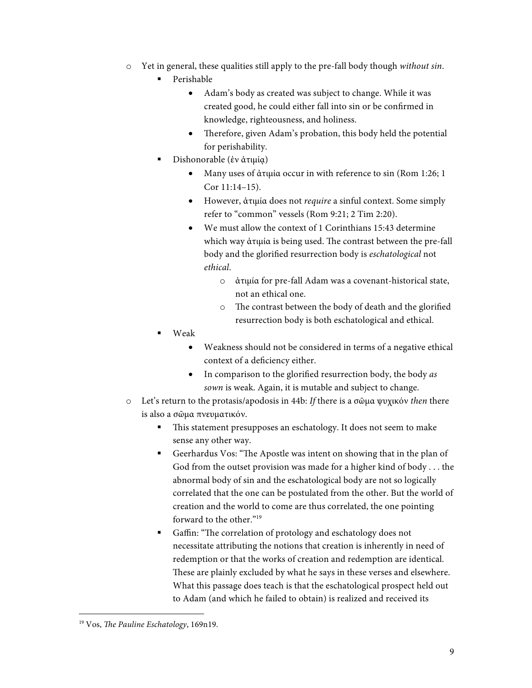- o Yet in general, these qualities still apply to the pre-fall body though *without sin*.
	- § Perishable
		- Adam's body as created was subject to change. While it was created good, he could either fall into sin or be confirmed in knowledge, righteousness, and holiness.
		- Therefore, given Adam's probation, this body held the potential for perishability.
	- § Dishonorable (ἐν ἀτιμίᾳ)
		- Many uses of ἀτιμία occur in with reference to sin (Rom 1:26; 1 Cor 11:14–15).
		- However, ἀτιμία does not *require* a sinful context. Some simply refer to "common" vessels (Rom 9:21; 2 Tim 2:20).
		- We must allow the context of 1 Corinthians 15:43 determine which way ἀτιμία is being used. The contrast between the pre-fall body and the glorified resurrection body is *eschatological* not *ethical*.
			- o ἀτιμία for pre-fall Adam was a covenant-historical state, not an ethical one.
			- o The contrast between the body of death and the glorified resurrection body is both eschatological and ethical.
	- § Weak
		- Weakness should not be considered in terms of a negative ethical context of a deficiency either.
		- In comparison to the glorified resurrection body, the body *as sown* is weak. Again, it is mutable and subject to change.
- o Let's return to the protasis/apodosis in 44b: *If* there is a σῶμα ψυχικόν *then* there is also a σῶμα πνευματικόν.
	- This statement presupposes an eschatology. It does not seem to make sense any other way.
	- § Geerhardus Vos: "The Apostle was intent on showing that in the plan of God from the outset provision was made for a higher kind of body . . . the abnormal body of sin and the eschatological body are not so logically correlated that the one can be postulated from the other. But the world of creation and the world to come are thus correlated, the one pointing forward to the other."19
	- Gaffin: "The correlation of protology and eschatology does not necessitate attributing the notions that creation is inherently in need of redemption or that the works of creation and redemption are identical. These are plainly excluded by what he says in these verses and elsewhere. What this passage does teach is that the eschatological prospect held out to Adam (and which he failed to obtain) is realized and received its

 <sup>19</sup> Vos, *The Pauline Eschatology*, 169n19.